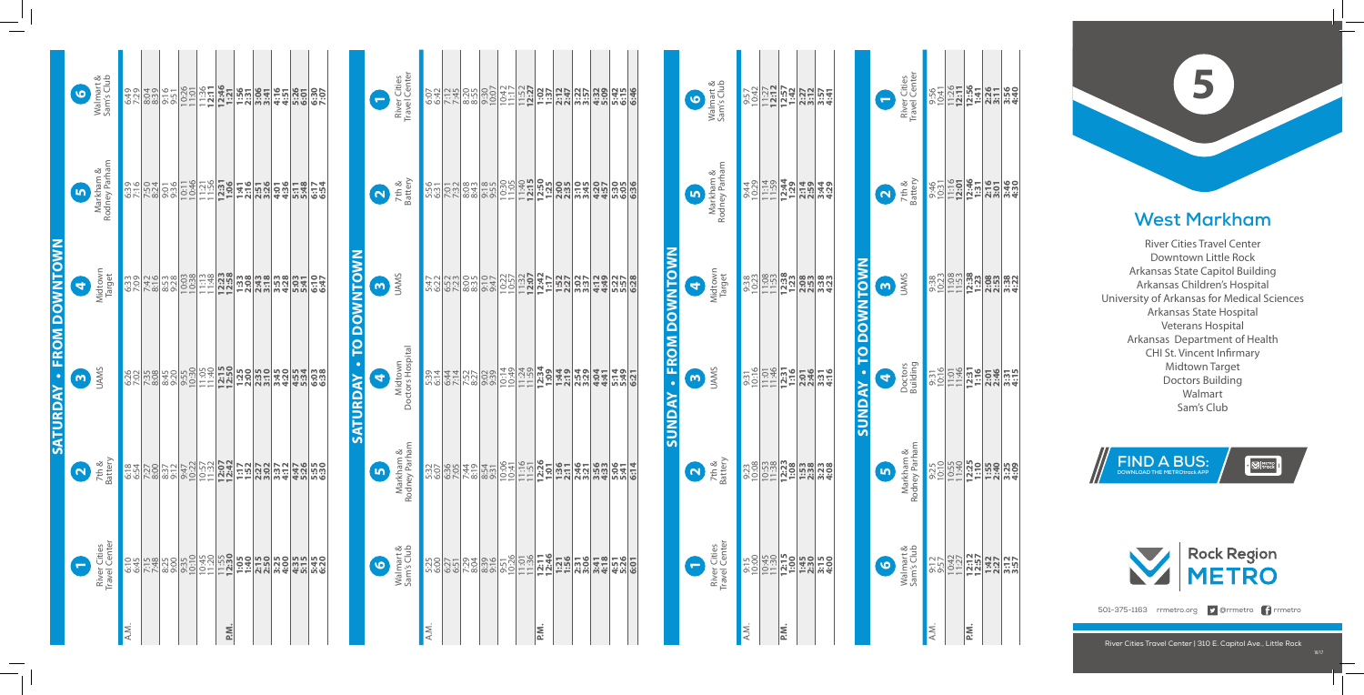

|                                 | Walmart &<br>Sam's Club<br>$\bullet$    | <u>ခုံမွာ အမျိုးများ များများ များများ များများများ များများ</u><br>အမျိုးများများ များများများ များများများ များများများ                                                                                                             |  |      |  |  |  |
|---------------------------------|-----------------------------------------|---------------------------------------------------------------------------------------------------------------------------------------------------------------------------------------------------------------------------------------|--|------|--|--|--|
|                                 | Markham &<br>Markham &<br>Rodney Parham |                                                                                                                                                                                                                                       |  |      |  |  |  |
| <b>SATURDAY - FROM DOWNTOWN</b> | Midtown<br>Midtown                      | <u>အချိုဒ်ချီ အချိုင်း မြံ့သွားမှာ မြံ့သွားမှာ မြံ့သွားမှာ မြံ့သွား</u><br>အချိုင်း မြစ်မျှ မြစ်မျှ မြံ့သွားမှာ မြံ့သွားမှာ မြံ့သွားမှာ မြံ့သွားမှာ မြံ့သွား                                                                          |  |      |  |  |  |
|                                 | <b>B</b><br>SINKI                       |                                                                                                                                                                                                                                       |  |      |  |  |  |
|                                 | 2<br>7th &<br>Battery                   | <u>င္ထိုင္က ေတြ႕ ေတြ႕ ေမြမမိုင္း အမွားေထာင္</u><br>အမွာ ေရြးေပးပါတယ္ ေမြ႕ေတြ ေမြန္မာေတြ ေ                                                                                                                                             |  |      |  |  |  |
|                                 | River Cities<br>Travel Center           | <u>ទីភ្នំដូន នៃទីក្រុម ក្រុម ក្រុម ក្រុម ក្រុម ក្រុម ក្រុម ក្រុម ក្រុម ក្រុម ក្រុម ក្រុម ក្រុម ក្រុម ក្រុម ក្រុម</u><br>ខ្ញុំនាំ ក្រុម ក្រុម ក្រុម ក្រុម ក្រុម ក្រុម ក្រុម ក្រុម ក្រុម ក្រុម ក្រុម ក្រុម ក្រុម ក្រុម ក្រុម ក្រុម ក្រុ |  |      |  |  |  |
|                                 |                                         | A.M.                                                                                                                                                                                                                                  |  | P.M. |  |  |  |

|                        | $\bullet$               | Walmart &<br>Sam's Club       | 9:57<br>10:42     | $11:27$<br>12:12 | $\frac{12:57}{1:42}$  | 2:27<br>3:12     | 3:57<br>4:41 |                             | E                       | River Cities<br>Travel Center |
|------------------------|-------------------------|-------------------------------|-------------------|------------------|-----------------------|------------------|--------------|-----------------------------|-------------------------|-------------------------------|
|                        | $\bullet$               | Markham &<br>Rodney Parham    | 9:44<br>10:29     | 11:14<br>11:59   | 12:44<br>1:29         | 2:14             | 3:44<br>4:29 |                             | $\overline{\mathbf{N}}$ | 7th &<br>Battery              |
|                        | $\overline{\mathbf{q}}$ | Midtown<br>Target             | 9:38<br>10:23     | 11:08            | $12:38$<br>$1:23$     | 2:08             | 3:38<br>4:23 |                             | m                       | <b>UAMS</b>                   |
| SUNDAY - FROM DOWNTOWN | m                       | <b>UAMS</b>                   | $9:31$<br>$10:16$ | 11:01<br>11:46   | $12:31$<br>$1:16$     | 2:01<br>2:46     | 3:316        | <b>SUNDAY - TO DOWNTOWN</b> | 4                       | Doctors<br>Building           |
|                        | $\overline{N}$          | 7th &<br>Battery              | 9:23<br>10:08     | 10:53            | 12:23<br>1:08         | $1:53$<br>$2:38$ | 3:28<br>4:08 |                             | In                      | Markham &<br>Rodney Parham    |
|                        | e                       | River Cities<br>Travel Center | 9:15<br>10:00     |                  | $\frac{10:45}{11:30}$ | 1:45<br>2:30     | 3:15         |                             | $\bullet$               | Valmart &<br>Sam's Club       |
|                        |                         |                               | A.M.              |                  | P.N.                  |                  |              |                             |                         |                               |

|                        | e              | River Cities<br>Travel Center |      | $6.42$<br>$6.42$<br>$7.45$<br>$7.45$ | 8:55         |                                                                                                                                                                                                                                                                                                                                                                 |         |  | 5:45<br>6:15<br>6:46 |  |
|------------------------|----------------|-------------------------------|------|--------------------------------------|--------------|-----------------------------------------------------------------------------------------------------------------------------------------------------------------------------------------------------------------------------------------------------------------------------------------------------------------------------------------------------------------|---------|--|----------------------|--|
|                        |                | 2<br>7th &<br>Battery         |      | $\frac{158}{158}$                    |              | <u>းပိုင်းခြင်းမြို့မျှ မြို့သည်။ မြို့သည် မြို့</u><br>အလုံးမြို့မျှ မြို့မျှ မြို့မျှ မြို့မျှ မြို့မျှ မြို့မျှ မြို့                                                                                                                                                                                                                                        |         |  |                      |  |
|                        | $\omega$       | <b>UAMS</b>                   | 5:47 | 6:52                                 | 8:35         | <b>es and all of the set of the set of the set of the set of the set of the set of the set of the set of the set</b><br>es a consequent in the set of the set of the set of the set of the set of the set of the set of the set of the                                                                                                                          |         |  |                      |  |
| SATURDAY - TO DOWNTOWN | 0              | Midtown<br>Doctors Hospital   | 5:39 | 6:44                                 | 7:52         |                                                                                                                                                                                                                                                                                                                                                                 |         |  |                      |  |
|                        | $\blacksquare$ | Markham &<br>Rodney Parham    |      | $\frac{25}{300}$                     | 7:44<br>8:19 |                                                                                                                                                                                                                                                                                                                                                                 |         |  |                      |  |
|                        | $\bullet$      | Walmart &<br>Sam's Club       | 5:25 |                                      |              | $\frac{1}{2} \sum_{i=1}^{2} \frac{1}{2} \sum_{i=1}^{2} \frac{1}{2} \sum_{i=1}^{2} \frac{1}{2} \sum_{i=1}^{2} \frac{1}{2} \sum_{i=1}^{2} \frac{1}{2} \sum_{i=1}^{2} \frac{1}{2} \sum_{i=1}^{2} \frac{1}{2} \sum_{i=1}^{2} \frac{1}{2} \sum_{i=1}^{2} \frac{1}{2} \sum_{i=1}^{2} \frac{1}{2} \sum_{i=1}^{2} \frac{1}{2} \sum_{i=1}^{2} \frac{1}{2} \sum_{i=1}^{2$ |         |  | $\frac{756}{1200}$   |  |
|                        |                |                               | A.M. |                                      |              |                                                                                                                                                                                                                                                                                                                                                                 | ik<br>a |  |                      |  |

| Š    |                                                                                          |                                                                                                                                  |                                                                                               |                                                                                              |
|------|------------------------------------------------------------------------------------------|----------------------------------------------------------------------------------------------------------------------------------|-----------------------------------------------------------------------------------------------|----------------------------------------------------------------------------------------------|
|      |                                                                                          |                                                                                                                                  |                                                                                               |                                                                                              |
|      |                                                                                          |                                                                                                                                  |                                                                                               |                                                                                              |
|      |                                                                                          |                                                                                                                                  |                                                                                               |                                                                                              |
| P.M. |                                                                                          |                                                                                                                                  |                                                                                               |                                                                                              |
|      |                                                                                          |                                                                                                                                  |                                                                                               |                                                                                              |
|      |                                                                                          |                                                                                                                                  |                                                                                               |                                                                                              |
|      |                                                                                          |                                                                                                                                  |                                                                                               |                                                                                              |
|      | ិ <u>ះប្អូន ដែល</u><br>នៅម <mark>្ពុះប្អូន ដែល</mark><br>នៅក្នុង <mark>អូន អូន អូ</mark> | ្ល<br><u>ភាមិក្រុង <b>ភូមិក្រុង ភូមិក្រុង</b></u><br>ត្រូ <mark>ក្រុង ភូមិក្រុង ភូមិ</mark><br>ត្រូ <mark>ក្រុង ភូមិក្រុង</mark> | အ<br>အိပ္သံခြင <mark>္သာ အိပ္သံခြင္း အိပ္သံ</mark><br>အိပ္သံခြင့္အေ <b>ျခင္း အိပ္သံခြင့္အ</b> | 9:56<br><u>9:51 <b>19:51 19:51</b></u><br>9:51 1 <mark>9:51 19:50</mark><br>9:51 19:50 19:50 |
|      |                                                                                          |                                                                                                                                  |                                                                                               |                                                                                              |
|      |                                                                                          |                                                                                                                                  |                                                                                               |                                                                                              |





501-375-1163 rrmetro.org **9** @rrmetro frrmetro

## **West Markham**

River Cities Travel Center Downtown Little Rock Arkansas State Capitol Building Arkansas Children's Hospital University of Arkansas for Medical Sciences Arkansas State Hospital Veterans Hospital Arkansas Department of Health CHI St. Vincent Infirmary Midtown Target Doctors Building Walmart Sam's Club